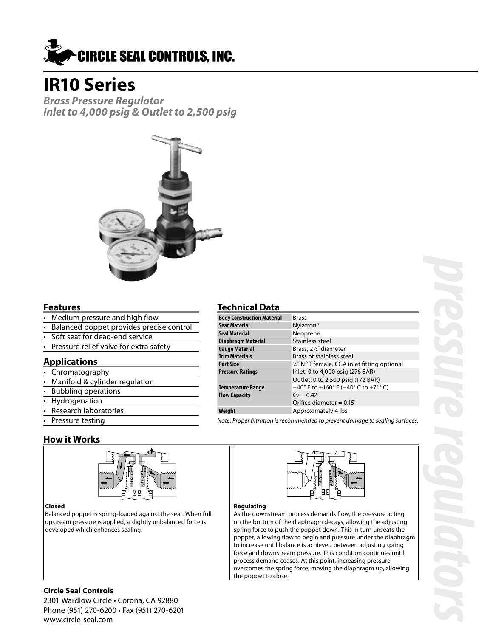

# **IR10 Series**

**Brass Pressure Regulator Inlet to 4,000 psig & Outlet to 2,500 psig**



## **Features**

- Medium pressure and high flow
- Balanced poppet provides precise control
- Soft seat for dead-end service
- Pressure relief valve for extra safety

## **Applications**

- Chromatography
- Manifold & cylinder regulation
- Bubbling operations
- **Hydrogenation**
- Research laboratories
- Pressure testing

## **Technical Data**

| <b>Body Construction Material</b> | <b>Brass</b>                                                              |
|-----------------------------------|---------------------------------------------------------------------------|
| <b>Seat Material</b>              | Nylatron <sup>®</sup>                                                     |
| <b>Seal Material</b>              | Neoprene                                                                  |
| <b>Diaphragm Material</b>         | Stainless steel                                                           |
| <b>Gauge Material</b>             | Brass, 21/2" diameter                                                     |
| <b>Trim Materials</b>             | Brass or stainless steel                                                  |
| <b>Port Size</b>                  | 1/4" NPT female, CGA inlet fitting optional                               |
| <b>Pressure Ratings</b>           | Inlet: 0 to 4,000 psig (276 BAR)                                          |
|                                   | Outlet: 0 to 2,500 psig (172 BAR)                                         |
| <b>Temperature Range</b>          | $-40^{\circ}$ F to $+160^{\circ}$ F ( $-40^{\circ}$ C to $+71^{\circ}$ C) |
| <b>Flow Capacity</b>              | $Cy = 0.42$                                                               |
|                                   | Orifice diameter = $0.15$ "                                               |
| Weiaht                            | Approximately 4 lbs                                                       |

Note: Proper filtration is recommended to prevent damage to sealing surfaces.

## **How it Works**





Balanced poppet is spring-loaded against the seat. When full upstream pressure is applied, a slightly unbalanced force is developed which enhances sealing.



### **Regulating**

As the downstream process demands flow, the pressure acting on the bottom of the diaphragm decays, allowing the adjusting spring force to push the poppet down. This in turn unseats the poppet, allowing flow to begin and pressure under the diaphragm to increase until balance is achieved between adjusting spring force and downstream pressure. This condition continues until process demand ceases. At this point, increasing pressure overcomes the spring force, moving the diaphragm up, allowing the poppet to close.

## **Circle Seal Controls**

2301 Wardlow Circle • Corona, CA 92880 Phone (951) 270-6200 • Fax (951) 270-6201 www.circle-seal.com